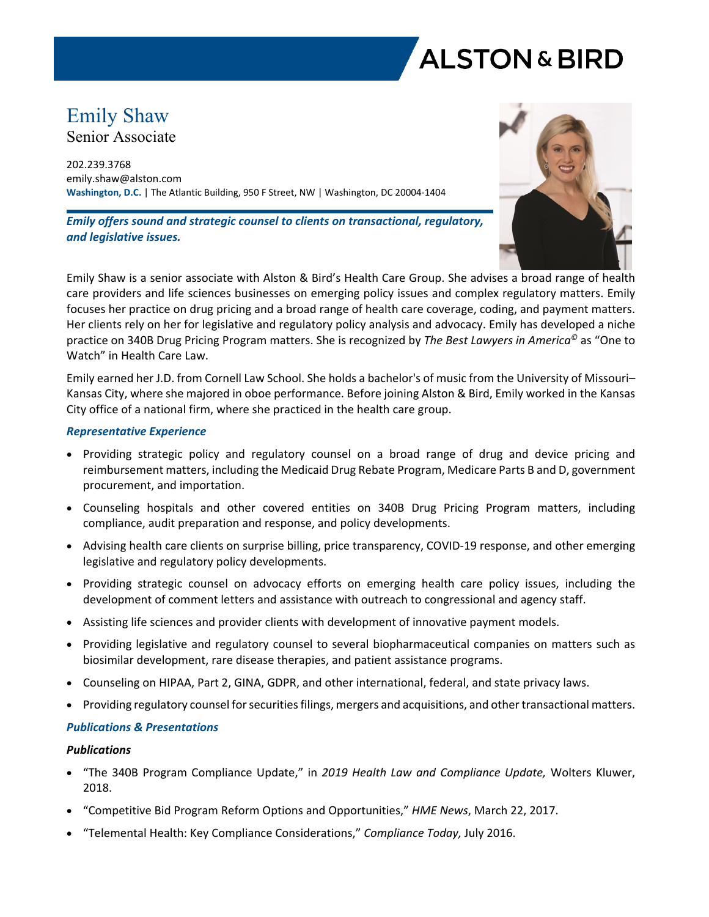

# Emily Shaw

Senior Associate

202.239.3768 emily.shaw@alston.com **Washington, D.C.** | The Atlantic Building, 950 F Street, NW | Washington, DC 20004-1404

*Emily offers sound and strategic counsel to clients on transactional, regulatory, and legislative issues.*



Emily Shaw is a senior associate with Alston & Bird's Health Care Group. She advises a broad range of health care providers and life sciences businesses on emerging policy issues and complex regulatory matters. Emily focuses her practice on drug pricing and a broad range of health care coverage, coding, and payment matters. Her clients rely on her for legislative and regulatory policy analysis and advocacy. Emily has developed a niche practice on 340B Drug Pricing Program matters. She is recognized by *The Best Lawyers in America©* as "One to Watch" in Health Care Law.

Emily earned her J.D. from Cornell Law School. She holds a bachelor's of music from the University of Missouri– Kansas City, where she majored in oboe performance. Before joining Alston & Bird, Emily worked in the Kansas City office of a national firm, where she practiced in the health care group.

# *Representative Experience*

- Providing strategic policy and regulatory counsel on a broad range of drug and device pricing and reimbursement matters, including the Medicaid Drug Rebate Program, Medicare Parts B and D, government procurement, and importation.
- Counseling hospitals and other covered entities on 340B Drug Pricing Program matters, including compliance, audit preparation and response, and policy developments.
- Advising health care clients on surprise billing, price transparency, COVID-19 response, and other emerging legislative and regulatory policy developments.
- Providing strategic counsel on advocacy efforts on emerging health care policy issues, including the development of comment letters and assistance with outreach to congressional and agency staff.
- Assisting life sciences and provider clients with development of innovative payment models.
- Providing legislative and regulatory counsel to several biopharmaceutical companies on matters such as biosimilar development, rare disease therapies, and patient assistance programs.
- Counseling on HIPAA, Part 2, GINA, GDPR, and other international, federal, and state privacy laws.
- Providing regulatory counsel for securities filings, mergers and acquisitions, and other transactional matters.

### *Publications & Presentations*

### *Publications*

- "The 340B Program Compliance Update," in *2019 Health Law and Compliance Update,* Wolters Kluwer, 2018.
- "Competitive Bid Program Reform Options and Opportunities," *HME News*, March 22, 2017.
- "Telemental Health: Key Compliance Considerations," *Compliance Today,* July 2016.